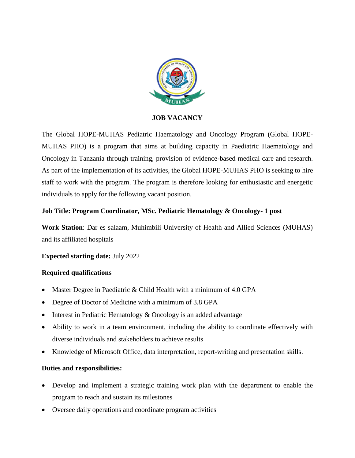

## **JOB VACANCY**

The Global HOPE-MUHAS Pediatric Haematology and Oncology Program (Global HOPE-MUHAS PHO) is a program that aims at building capacity in Paediatric Haematology and Oncology in Tanzania through training, provision of evidence-based medical care and research. As part of the implementation of its activities, the Global HOPE-MUHAS PHO is seeking to hire staff to work with the program. The program is therefore looking for enthusiastic and energetic individuals to apply for the following vacant position.

## **Job Title: Program Coordinator, MSc. Pediatric Hematology & Oncology- 1 post**

**Work Station**: Dar es salaam, Muhimbili University of Health and Allied Sciences (MUHAS) and its affiliated hospitals

# **Expected starting date:** July 2022

### **Required qualifications**

- Master Degree in Paediatric & Child Health with a minimum of 4.0 GPA
- Degree of Doctor of Medicine with a minimum of 3.8 GPA
- $\bullet$  Interest in Pediatric Hematology & Oncology is an added advantage
- Ability to work in a team environment, including the ability to coordinate effectively with diverse individuals and stakeholders to achieve results
- Knowledge of Microsoft Office, data interpretation, report-writing and presentation skills.

# **Duties and responsibilities:**

- Develop and implement a strategic training work plan with the department to enable the program to reach and sustain its milestones
- Oversee daily operations and coordinate program activities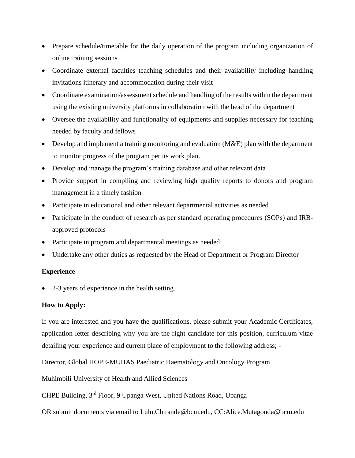- Prepare schedule/timetable for the daily operation of the program including organization of online training sessions
- Coordinate external faculties teaching schedules and their availability including handling invitations itinerary and accommodation during their visit
- Coordinate examination/assessment schedule and handling of the results within the department using the existing university platforms in collaboration with the head of the department
- Oversee the availability and functionality of equipments and supplies necessary for teaching needed by faculty and fellows
- Develop and implement a training monitoring and evaluation (M&E) plan with the department to monitor progress of the program per its work plan.
- Develop and manage the program's training database and other relevant data
- Provide support in compiling and reviewing high quality reports to donors and program management in a timely fashion
- Participate in educational and other relevant departmental activities as needed
- Participate in the conduct of research as per standard operating procedures (SOPs) and IRBapproved protocols
- Participate in program and departmental meetings as needed
- Undertake any other duties as requested by the Head of Department or Program Director

# **Experience**

• 2-3 years of experience in the health setting.

# **How to Apply:**

If you are interested and you have the qualifications, please submit your Academic Certificates, application letter describing why you are the right candidate for this position, curriculum vitae detailing your experience and current place of employment to the following address; -

Director, Global HOPE-MUHAS Paediatric Haematology and Oncology Program

Muhimbili University of Health and Allied Sciences

CHPE Building, 3rd Floor, 9 Upanga West, United Nations Road, Upanga

OR submit documents via email to Lulu.Chirande@bcm.edu, CC:Alice.Mutagonda@bcm.edu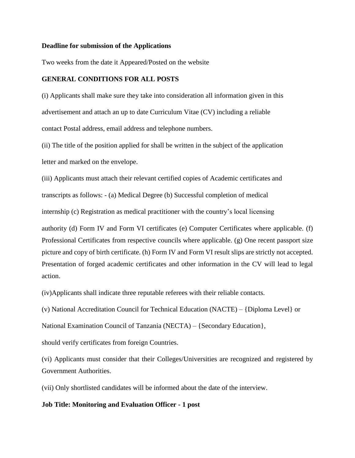#### **Deadline for submission of the Applications**

Two weeks from the date it Appeared/Posted on the website

#### **GENERAL CONDITIONS FOR ALL POSTS**

(i) Applicants shall make sure they take into consideration all information given in this advertisement and attach an up to date Curriculum Vitae (CV) including a reliable contact Postal address, email address and telephone numbers.

(ii) The title of the position applied for shall be written in the subject of the application letter and marked on the envelope.

(iii) Applicants must attach their relevant certified copies of Academic certificates and

transcripts as follows: - (a) Medical Degree (b) Successful completion of medical

internship (c) Registration as medical practitioner with the country's local licensing

authority (d) Form IV and Form VI certificates (e) Computer Certificates where applicable. (f) Professional Certificates from respective councils where applicable. (g) One recent passport size picture and copy of birth certificate. (h) Form IV and Form VI result slips are strictly not accepted. Presentation of forged academic certificates and other information in the CV will lead to legal action.

(iv)Applicants shall indicate three reputable referees with their reliable contacts.

(v) National Accreditation Council for Technical Education (NACTE) – {Diploma Level} or

National Examination Council of Tanzania (NECTA) – {Secondary Education},

should verify certificates from foreign Countries.

(vi) Applicants must consider that their Colleges/Universities are recognized and registered by Government Authorities.

(vii) Only shortlisted candidates will be informed about the date of the interview.

#### **Job Title: Monitoring and Evaluation Officer - 1 post**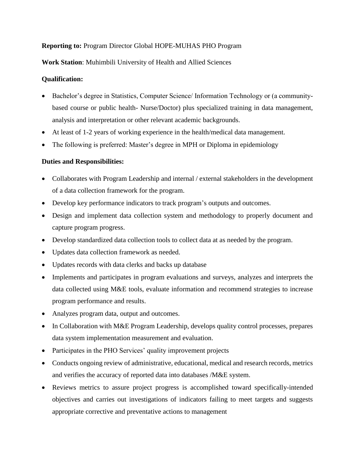# **Reporting to:** Program Director Global HOPE-MUHAS PHO Program

# **Work Station**: Muhimbili University of Health and Allied Sciences

# **Qualification:**

- Bachelor's degree in Statistics, Computer Science/ Information Technology or (a communitybased course or public health- Nurse/Doctor) plus specialized training in data management, analysis and interpretation or other relevant academic backgrounds.
- At least of 1-2 years of working experience in the health/medical data management.
- The following is preferred: Master's degree in MPH or Diploma in epidemiology

# **Duties and Responsibilities:**

- Collaborates with Program Leadership and internal / external stakeholders in the development of a data collection framework for the program.
- Develop key performance indicators to track program's outputs and outcomes.
- Design and implement data collection system and methodology to properly document and capture program progress.
- Develop standardized data collection tools to collect data at as needed by the program.
- Updates data collection framework as needed.
- Updates records with data clerks and backs up database
- Implements and participates in program evaluations and surveys, analyzes and interprets the data collected using M&E tools, evaluate information and recommend strategies to increase program performance and results.
- Analyzes program data, output and outcomes.
- In Collaboration with M&E Program Leadership, develops quality control processes, prepares data system implementation measurement and evaluation.
- Participates in the PHO Services' quality improvement projects
- Conducts ongoing review of administrative, educational, medical and research records, metrics and verifies the accuracy of reported data into databases /M&E system.
- Reviews metrics to assure project progress is accomplished toward specifically-intended objectives and carries out investigations of indicators failing to meet targets and suggests appropriate corrective and preventative actions to management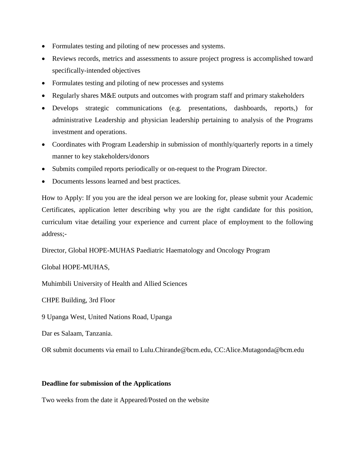- Formulates testing and piloting of new processes and systems.
- Reviews records, metrics and assessments to assure project progress is accomplished toward specifically-intended objectives
- Formulates testing and piloting of new processes and systems
- Regularly shares M&E outputs and outcomes with program staff and primary stakeholders
- Develops strategic communications (e.g. presentations, dashboards, reports,) for administrative Leadership and physician leadership pertaining to analysis of the Programs investment and operations.
- Coordinates with Program Leadership in submission of monthly/quarterly reports in a timely manner to key stakeholders/donors
- Submits compiled reports periodically or on-request to the Program Director.
- Documents lessons learned and best practices.

How to Apply: If you you are the ideal person we are looking for, please submit your Academic Certificates, application letter describing why you are the right candidate for this position, curriculum vitae detailing your experience and current place of employment to the following address;-

Director, Global HOPE-MUHAS Paediatric Haematology and Oncology Program

# Global HOPE-MUHAS,

Muhimbili University of Health and Allied Sciences

CHPE Building, 3rd Floor

9 Upanga West, United Nations Road, Upanga

Dar es Salaam, Tanzania.

OR submit documents via email to Lulu.Chirande@bcm.edu, CC:Alice.Mutagonda@bcm.edu

### **Deadline for submission of the Applications**

Two weeks from the date it Appeared/Posted on the website